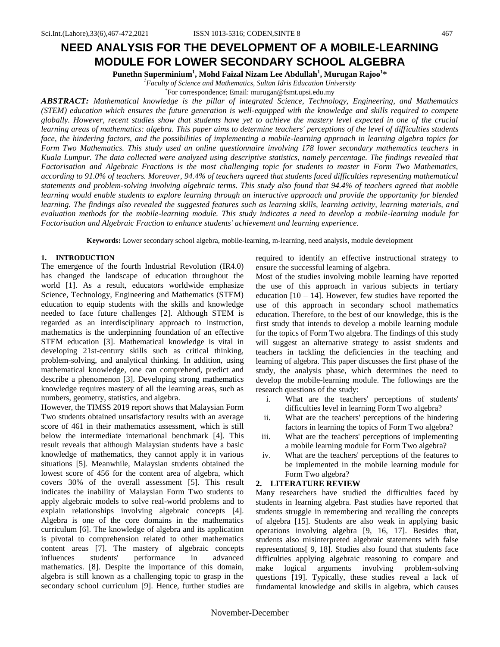# **NEED ANALYSIS FOR THE DEVELOPMENT OF A MOBILE-LEARNING MODULE FOR LOWER SECONDARY SCHOOL ALGEBRA**

**Punethn Superminium<sup>1</sup> , Mohd Faizal Nizam Lee Abdullah<sup>1</sup> , Murugan Rajoo<sup>1</sup> \***

*<sup>1</sup>Faculty of Science and Mathematics, Sultan Idris Education University*

For correspondence; Email: murugan@fsmt.upsi.edu.my

*ABSTRACT: Mathematical knowledge is the pillar of integrated Science, Technology, Engineering, and Mathematics (STEM) education which ensures the future generation is well-equipped with the knowledge and skills required to compete globally. However, recent studies show that students have yet to achieve the mastery level expected in one of the crucial learning areas of mathematics: algebra. This paper aims to determine teachers' perceptions of the level of difficulties students face, the hindering factors, and the possibilities of implementing a mobile-learning approach in learning algebra topics for Form Two Mathematics. This study used an online questionnaire involving 178 lower secondary mathematics teachers in Kuala Lumpur. The data collected were analyzed using descriptive statistics, namely percentage. The findings revealed that Factorisation and Algebraic Fractions is the most challenging topic for students to master in Form Two Mathematics, according to 91.0% of teachers. Moreover, 94.4% of teachers agreed that students faced difficulties representing mathematical statements and problem-solving involving algebraic terms. This study also found that 94.4% of teachers agreed that mobile learning would enable students to explore learning through an interactive approach and provide the opportunity for blended learning. The findings also revealed the suggested features such as learning skills, learning activity, learning materials, and evaluation methods for the mobile-learning module. This study indicates a need to develop a mobile-learning module for Factorisation and Algebraic Fraction to enhance students' achievement and learning experience.*

**Keywords:** Lower secondary school algebra, mobile-learning, m-learning, need analysis, module development

## **1. INTRODUCTION**

The emergence of the fourth Industrial Revolution (IR4.0) has changed the landscape of education throughout the world [\[1\].](#page-3-0) As a result, educators worldwide emphasize Science, Technology, Engineering and Mathematics (STEM) education to equip students with the skills and knowledge needed to face future challenges [\[2\].](#page-3-1) Although STEM is regarded as an interdisciplinary approach to instruction, mathematics is the underpinning foundation of an effective STEM education [\[3\].](#page-3-2) Mathematical knowledge is vital in developing 21st-century skills such as critical thinking, problem-solving, and analytical thinking. In addition, using mathematical knowledge, one can comprehend, predict and describe a phenomenon [\[3\].](#page-3-2) Developing strong mathematics knowledge requires mastery of all the learning areas, such as numbers, geometry, statistics, and algebra.

However, the TIMSS 2019 report shows that Malaysian Form Two students obtained unsatisfactory results with an average score of 461 in their mathematics assessment, which is still below the intermediate international benchmark [\[4\].](#page-3-3) This result reveals that although Malaysian students have a basic knowledge of mathematics, they cannot apply it in various situations [\[5\].](#page-3-4) Meanwhile, Malaysian students obtained the lowest score of 456 for the content area of algebra, which covers 30% of the overall assessment [\[5\].](#page-3-4) This result indicates the inability of Malaysian Form Two students to apply algebraic models to solve real-world problems and to explain relationships involving algebraic concepts [\[4\].](#page-3-3)  Algebra is one of the core domains in the mathematics curriculum [\[6\].](#page-4-0) The knowledge of algebra and its application is pivotal to comprehension related to other mathematics content areas [\[7\].](#page-4-1) The mastery of algebraic concepts influences students' performance in advanced mathematics. [\[8\].](#page-4-2) Despite the importance of this domain, algebra is still known as a challenging topic to grasp in the secondary school curriculum [\[9\].](#page-4-3) Hence, further studies are required to identify an effective instructional strategy to ensure the successful learning of algebra.

Most of the studies involving mobile learning have reported the use of this approach in various subjects in tertiary education  $[10 - 14]$ . However, few studies have reported the use of this approach in secondary school mathematics education. Therefore, to the best of our knowledge, this is the first study that intends to develop a mobile learning module for the topics of Form Two algebra. The findings of this study will suggest an alternative strategy to assist students and teachers in tackling the deficiencies in the teaching and learning of algebra. This paper discusses the first phase of the study, the analysis phase, which determines the need to develop the mobile-learning module. The followings are the research questions of the study:

- i. What are the teachers' perceptions of students' difficulties level in learning Form Two algebra?
- ii. What are the teachers' perceptions of the hindering factors in learning the topics of Form Two algebra?
- iii. What are the teachers' perceptions of implementing a mobile learning module for Form Two algebra?
- iv. What are the teachers' perceptions of the features to be implemented in the mobile learning module for Form Two algebra?

# **2. LITERATURE REVIEW**

Many researchers have studied the difficulties faced by students in learning algebra. Past studies have reported that students struggle in remembering and recalling the concepts of algebra [\[15\].](#page-4-4) Students are also weak in applying basic operations involving algebra [9, 16, 17]. Besides that, students also misinterpreted algebraic statements with false representations[ 9, 18]. Studies also found that students face difficulties applying algebraic reasoning to compare and make logical arguments involving problem-solving questions [\[19\].](#page-4-5) Typically, these studies reveal a lack of fundamental knowledge and skills in algebra, which causes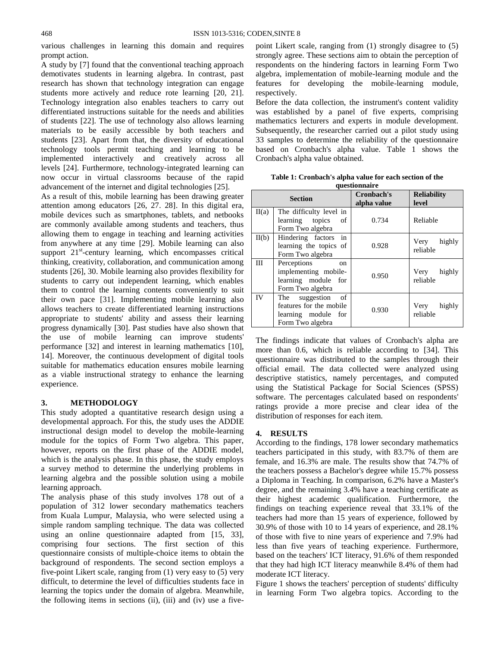various challenges in learning this domain and requires prompt action.

A study by [\[7\]](#page-4-1) found that the conventional teaching approach demotivates students in learning algebra. In contrast, past research has shown that technology integration can engage students more actively and reduce rote learning [20, 21]. Technology integration also enables teachers to carry out differentiated instructions suitable for the needs and abilities of students [\[22\].](#page-4-6) The use of technology also allows learning materials to be easily accessible by both teachers and students [\[23\].](#page-4-7) Apart from that, the diversity of educational technology tools permit teaching and learning to be implemented interactively and creatively across all levels [\[24\].](#page-4-8) Furthermore, technology-integrated learning can now occur in virtual classrooms because of the rapid advancement of the internet and digital technologies [\[25\].](#page-4-9)

As a result of this, mobile learning has been drawing greater attention among educators [26, 27. 28]. In this digital era, mobile devices such as smartphones, tablets, and netbooks are commonly available among students and teachers, thus allowing them to engage in teaching and learning activities from anywhere at any time [\[29\].](#page-5-0) Mobile learning can also support 21<sup>st</sup>-century learning, which encompasses critical thinking, creativity, collaboration, and communication among students [\[26\],](#page-4-10) 30. Mobile learning also provides flexibility for students to carry out independent learning, which enables them to control the learning contents conveniently to suit their own pace [\[31\].](#page-5-1) Implementing mobile learning also allows teachers to create differentiated learning instructions appropriate to students' ability and assess their learning progress dynamically [\[30\].](#page-5-2) Past studies have also shown that the use of mobile learning can improve students' performance [\[32\]](#page-5-3) and interest in learning mathematics [\[10\],](#page-4-11)  14]. Moreover, the continuous development of digital tools suitable for mathematics education ensures mobile learning as a viable instructional strategy to enhance the learning experience.

## **3. METHODOLOGY**

This study adopted a quantitative research design using a developmental approach. For this, the study uses the ADDIE instructional design model to develop the mobile-learning module for the topics of Form Two algebra. This paper, however, reports on the first phase of the ADDIE model, which is the analysis phase. In this phase, the study employs a survey method to determine the underlying problems in learning algebra and the possible solution using a mobile learning approach.

The analysis phase of this study involves 178 out of a population of 312 lower secondary mathematics teachers from Kuala Lumpur, Malaysia, who were selected using a simple random sampling technique. The data was collected using an online questionnaire adapted from [15, 33], comprising four sections. The first section of this questionnaire consists of multiple-choice items to obtain the background of respondents. The second section employs a five-point Likert scale, ranging from (1) very easy to (5) very difficult, to determine the level of difficulties students face in learning the topics under the domain of algebra. Meanwhile, the following items in sections (ii), (iii) and (iv) use a fivepoint Likert scale, ranging from (1) strongly disagree to (5) strongly agree. These sections aim to obtain the perception of respondents on the hindering factors in learning Form Two algebra, implementation of mobile-learning module and the features for developing the mobile-learning module, respectively.

Before the data collection, the instrument's content validity was established by a panel of five experts, comprising mathematics lecturers and experts in module development. Subsequently, the researcher carried out a pilot study using 33 samples to determine the reliability of the questionnaire based on Cronbach's alpha value. Table 1 shows the Cronbach's alpha value obtained.

| Table 1: Cronbach's alpha value for each section of the |  |  |  |
|---------------------------------------------------------|--|--|--|
| questionnaire                                           |  |  |  |

| <b>Section</b> |                                                                                            | Cronbach's<br>alpha value | <b>Reliability</b><br>level |
|----------------|--------------------------------------------------------------------------------------------|---------------------------|-----------------------------|
| II(a)          | The difficulty level in<br>learning topics<br>of<br>Form Two algebra                       | 0.734                     | Reliable                    |
| II(b)          | in<br>Hindering factors<br>learning the topics of<br>Form Two algebra                      | 0.928                     | highly<br>Very<br>reliable  |
| Ш              | Perceptions<br>on<br>implementing mobile-<br>learning module for<br>Form Two algebra       | 0.950                     | highly<br>Very<br>reliable  |
| IV             | The suggestion<br>of<br>features for the mobile<br>learning module for<br>Form Two algebra | 0.930                     | highly<br>Very<br>reliable  |

The findings indicate that values of Cronbach's alpha are more than 0.6, which is reliable according to [\[34\].](#page-5-4) This questionnaire was distributed to the samples through their official email. The data collected were analyzed using descriptive statistics, namely percentages, and computed using the Statistical Package for Social Sciences (SPSS) software. The percentages calculated based on respondents' ratings provide a more precise and clear idea of the distribution of responses for each item.

## **4. RESULTS**

According to the findings, 178 lower secondary mathematics teachers participated in this study, with 83.7% of them are female, and 16.3% are male. The results show that 74.7% of the teachers possess a Bachelor's degree while 15.7% possess a Diploma in Teaching. In comparison, 6.2% have a Master's degree, and the remaining 3.4% have a teaching certificate as their highest academic qualification. Furthermore, the findings on teaching experience reveal that 33.1% of the teachers had more than 15 years of experience, followed by 30.9% of those with 10 to 14 years of experience, and 28.1% of those with five to nine years of experience and 7.9% had less than five years of teaching experience. Furthermore, based on the teachers' ICT literacy, 91.6% of them responded that they had high ICT literacy meanwhile 8.4% of them had moderate ICT literacy.

Figure 1 shows the teachers' perception of students' difficulty in learning Form Two algebra topics. According to the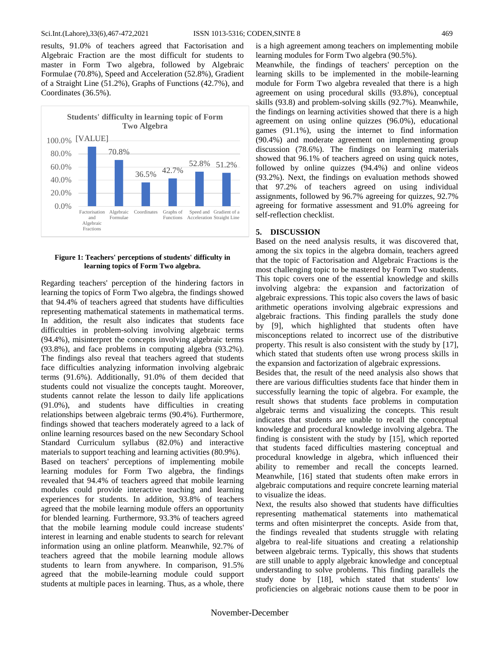#### Sci.Int.(Lahore),33(6),467-472,2021 ISSN 1013-5316; CODEN,SINTE 8 469

results, 91.0% of teachers agreed that Factorisation and Algebraic Fraction are the most difficult for students to master in Form Two algebra, followed by Algebraic Formulae (70.8%), Speed and Acceleration (52.8%), Gradient of a Straight Line (51.2%), Graphs of Functions (42.7%), and Coordinates (36.5%).



## **Figure 1: Teachers' perceptions of students' difficulty in learning topics of Form Two algebra.**

Regarding teachers' perception of the hindering factors in learning the topics of Form Two algebra, the findings showed that 94.4% of teachers agreed that students have difficulties representing mathematical statements in mathematical terms. In addition, the result also indicates that students face difficulties in problem-solving involving algebraic terms (94.4%), misinterpret the concepts involving algebraic terms (93.8%), and face problems in computing algebra (93.2%). The findings also reveal that teachers agreed that students face difficulties analyzing information involving algebraic terms (91.6%). Additionally, 91.0% of them decided that students could not visualize the concepts taught. Moreover, students cannot relate the lesson to daily life applications (91.0%), and students have difficulties in creating relationships between algebraic terms (90.4%). Furthermore, findings showed that teachers moderately agreed to a lack of online learning resources based on the new Secondary School Standard Curriculum syllabus (82.0%) and interactive materials to support teaching and learning activities (80.9%). Based on teachers' perceptions of implementing mobile learning modules for Form Two algebra, the findings revealed that 94.4% of teachers agreed that mobile learning modules could provide interactive teaching and learning experiences for students. In addition, 93.8% of teachers agreed that the mobile learning module offers an opportunity for blended learning. Furthermore, 93.3% of teachers agreed that the mobile learning module could increase students' interest in learning and enable students to search for relevant information using an online platform. Meanwhile, 92.7% of teachers agreed that the mobile learning module allows students to learn from anywhere. In comparison, 91.5% agreed that the mobile-learning module could support students at multiple paces in learning. Thus, as a whole, there is a high agreement among teachers on implementing mobile learning modules for Form Two algebra (90.5%).

Meanwhile, the findings of teachers' perception on the learning skills to be implemented in the mobile-learning module for Form Two algebra revealed that there is a high agreement on using procedural skills (93.8%), conceptual skills (93.8) and problem-solving skills (92.7%). Meanwhile, the findings on learning activities showed that there is a high agreement on using online quizzes (96.0%), educational games (91.1%), using the internet to find information (90.4%) and moderate agreement on implementing group discussion (78.6%). The findings on learning materials showed that 96.1% of teachers agreed on using quick notes, followed by online quizzes (94.4%) and online videos (93.2%). Next, the findings on evaluation methods showed that 97.2% of teachers agreed on using individual assignments, followed by 96.7% agreeing for quizzes, 92.7% agreeing for formative assessment and 91.0% agreeing for self-reflection checklist.

## **5. DISCUSSION**

Based on the need analysis results, it was discovered that, among the six topics in the algebra domain, teachers agreed that the topic of Factorisation and Algebraic Fractions is the most challenging topic to be mastered by Form Two students. This topic covers one of the essential knowledge and skills involving algebra: the expansion and factorization of algebraic expressions. This topic also covers the laws of basic arithmetic operations involving algebraic expressions and algebraic fractions. This finding parallels the study done by [\[9\],](#page-4-3) which highlighted that students often have misconceptions related to incorrect use of the distributive property. This result is also consistent with the study by [\[17\],](#page-4-12) which stated that students often use wrong process skills in the expansion and factorization of algebraic expressions.

Besides that, the result of the need analysis also shows that there are various difficulties students face that hinder them in successfully learning the topic of algebra. For example, the result shows that students face problems in computation algebraic terms and visualizing the concepts. This result indicates that students are unable to recall the conceptual knowledge and procedural knowledge involving algebra. The finding is consistent with the study by [\[15\],](#page-4-4) which reported that students faced difficulties mastering conceptual and procedural knowledge in algebra, which influenced their ability to remember and recall the concepts learned. Meanwhile, [\[16\]](#page-4-13) stated that students often make errors in algebraic computations and require concrete learning material to visualize the ideas.

Next, the results also showed that students have difficulties representing mathematical statements into mathematical terms and often misinterpret the concepts. Aside from that, the findings revealed that students struggle with relating algebra to real-life situations and creating a relationship between algebraic terms. Typically, this shows that students are still unable to apply algebraic knowledge and conceptual understanding to solve problems. This finding parallels the study done by [\[18\],](#page-4-14) which stated that students' low proficiencies on algebraic notions cause them to be poor in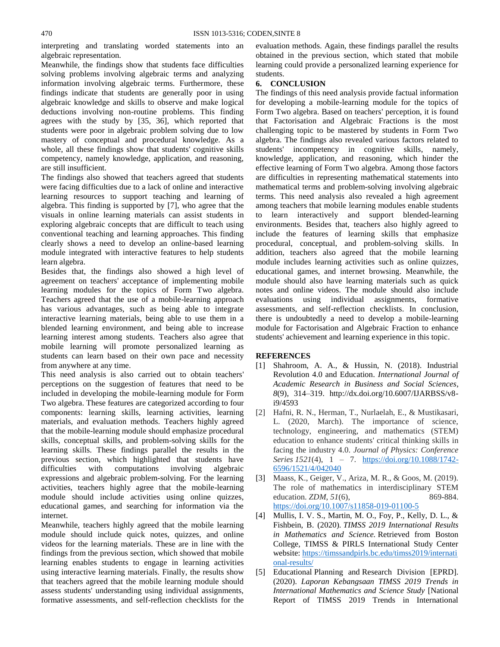interpreting and translating worded statements into an algebraic representation.

Meanwhile, the findings show that students face difficulties solving problems involving algebraic terms and analyzing information involving algebraic terms. Furthermore, these findings indicate that students are generally poor in using algebraic knowledge and skills to observe and make logical deductions involving non-routine problems. This finding agrees with the study by [35, 36], which reported that students were poor in algebraic problem solving due to low mastery of conceptual and procedural knowledge. As a whole, all these findings show that students' cognitive skills competency, namely knowledge, application, and reasoning, are still insufficient.

The findings also showed that teachers agreed that students were facing difficulties due to a lack of online and interactive learning resources to support teaching and learning of algebra. This finding is supported by [\[7\],](#page-4-1) who agree that the visuals in online learning materials can assist students in exploring algebraic concepts that are difficult to teach using conventional teaching and learning approaches. This finding clearly shows a need to develop an online-based learning module integrated with interactive features to help students learn algebra.

Besides that, the findings also showed a high level of agreement on teachers' acceptance of implementing mobile learning modules for the topics of Form Two algebra. Teachers agreed that the use of a mobile-learning approach has various advantages, such as being able to integrate interactive learning materials, being able to use them in a blended learning environment, and being able to increase learning interest among students. Teachers also agree that mobile learning will promote personalized learning as students can learn based on their own pace and necessity from anywhere at any time.

This need analysis is also carried out to obtain teachers' perceptions on the suggestion of features that need to be included in developing the mobile-learning module for Form Two algebra. These features are categorized according to four components: learning skills, learning activities, learning materials, and evaluation methods. Teachers highly agreed that the mobile-learning module should emphasize procedural skills, conceptual skills, and problem-solving skills for the learning skills. These findings parallel the results in the previous section, which highlighted that students have difficulties with computations involving algebraic expressions and algebraic problem-solving. For the learning activities, teachers highly agree that the mobile-learning module should include activities using online quizzes, educational games, and searching for information via the internet.

Meanwhile, teachers highly agreed that the mobile learning module should include quick notes, quizzes, and online videos for the learning materials. These are in line with the findings from the previous section, which showed that mobile learning enables students to engage in learning activities using interactive learning materials. Finally, the results show that teachers agreed that the mobile learning module should assess students' understanding using individual assignments, formative assessments, and self-reflection checklists for the evaluation methods. Again, these findings parallel the results obtained in the previous section, which stated that mobile learning could provide a personalized learning experience for students.

## **6. CONCLUSION**

The findings of this need analysis provide factual information for developing a mobile-learning module for the topics of Form Two algebra. Based on teachers' perception, it is found that Factorisation and Algebraic Fractions is the most challenging topic to be mastered by students in Form Two algebra. The findings also revealed various factors related to students' incompetency in cognitive skills, namely, knowledge, application, and reasoning, which hinder the effective learning of Form Two algebra. Among those factors are difficulties in representing mathematical statements into mathematical terms and problem-solving involving algebraic terms. This need analysis also revealed a high agreement among teachers that mobile learning modules enable students to learn interactively and support blended-learning environments. Besides that, teachers also highly agreed to include the features of learning skills that emphasize procedural, conceptual, and problem-solving skills. In addition, teachers also agreed that the mobile learning module includes learning activities such as online quizzes, educational games, and internet browsing. Meanwhile, the module should also have learning materials such as quick notes and online videos. The module should also include evaluations using individual assignments, formative assessments, and self-reflection checklists. In conclusion, there is undoubtedly a need to develop a mobile-learning module for Factorisation and Algebraic Fraction to enhance students' achievement and learning experience in this topic.

## **REFERENCES**

- <span id="page-3-0"></span>[1] Shahroom, A. A., & Hussin, N. (2018). Industrial Revolution 4.0 and Education. *International Journal of Academic Research in Business and Social Sciences*, *8*(9), 314–319. http://dx.doi.org/10.6007/IJARBSS/v8 i9/4593
- <span id="page-3-1"></span>[2] Hafni, R. N., Herman, T., Nurlaelah, E., & Mustikasari, L. (2020, March). The importance of science, technology, engineering, and mathematics (STEM) education to enhance students' critical thinking skills in facing the industry 4.0. *Journal of Physics: Conference Series 1521*(4), 1 – 7. [https://doi.org/10.1088/1742-](https://doi.org/10.1088/1742-6596/1521/4/042040) [6596/1521/4/042040](https://doi.org/10.1088/1742-6596/1521/4/042040)
- <span id="page-3-2"></span>[3] Maass, K., Geiger, V., Ariza, M. R., & Goos, M. (2019). The role of mathematics in interdisciplinary STEM education. *ZDM*, 51(6), 869-884. <https://doi.org/10.1007/s11858-019-01100-5>
- <span id="page-3-3"></span>[4] Mullis, I. V. S., Martin, M. O., Foy, P., Kelly, D. L., & Fishbein, B. (2020). *TIMSS 2019 International Results in Mathematics and Science.* Retrieved from Boston College, TIMSS & PIRLS International Study Center website: [https://timssandpirls.bc.edu/timss2019/internati](https://timssandpirls.bc.edu/timss2019/international-results/) [onal-results/](https://timssandpirls.bc.edu/timss2019/international-results/)
- <span id="page-3-4"></span>[5] Educational Planning and Research Division [EPRD]. (2020). *Laporan Kebangsaan TIMSS 2019 Trends in International Mathematics and Science Study* [National Report of TIMSS 2019 Trends in International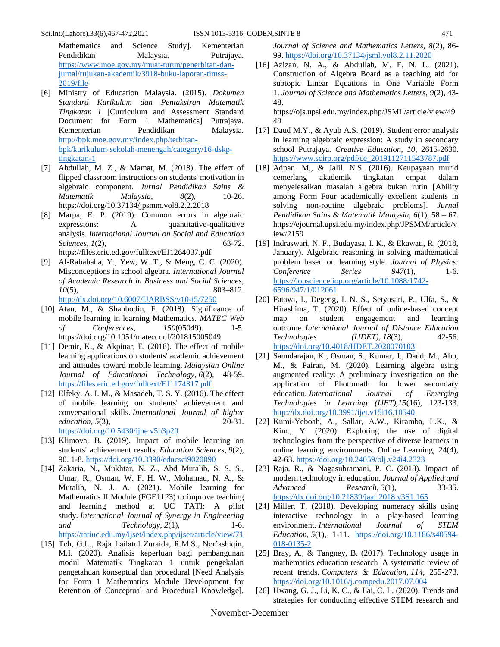Mathematics and Science Study]. Kementerian Pendidikan Malaysia. Putrajaya. [https://www.moe.gov.my/muat-turun/penerbitan-dan](https://www.moe.gov.my/muat-turun/penerbitan-dan-jurnal/rujukan-akademik/3918-buku-laporan-timss-2019/file)[jurnal/rujukan-akademik/3918-buku-laporan-timss-](https://www.moe.gov.my/muat-turun/penerbitan-dan-jurnal/rujukan-akademik/3918-buku-laporan-timss-2019/file)[2019/file](https://www.moe.gov.my/muat-turun/penerbitan-dan-jurnal/rujukan-akademik/3918-buku-laporan-timss-2019/file)

- <span id="page-4-0"></span>[6] Ministry of Education Malaysia. (2015). *Dokumen Standard Kurikulum dan Pentaksiran Matematik Tingkatan 1* [Curriculum and Assessment Standard Document for Form 1 Mathematics] Putrajaya. Kementerian Pendidikan Malaysia. [http://bpk.moe.gov.my/index.php/terbitan](http://bpk.moe.gov.my/index.php/terbitan-bpk/kurikulum-sekolah-menengah/category/16-dskp-tingkatan-1)[bpk/kurikulum-sekolah-menengah/category/16-dskp](http://bpk.moe.gov.my/index.php/terbitan-bpk/kurikulum-sekolah-menengah/category/16-dskp-tingkatan-1)[tingkatan-1](http://bpk.moe.gov.my/index.php/terbitan-bpk/kurikulum-sekolah-menengah/category/16-dskp-tingkatan-1)
- <span id="page-4-1"></span>[7] Abdullah, M. Z., & Mamat, M. (2018). The effect of flipped classroom instructions on students' motivation in algebraic component. *Jurnal Pendidikan Sains & Matematik Malaysia*, 8(2), 10-26. https://doi.org/10.37134/jpsmm.vol8.2.2.2018
- <span id="page-4-2"></span>[8] Marpa, E. P. (2019). Common errors in algebraic expressions: A quantitative-qualitative analysis. *International Journal on Social and Education Sciences*, *1*(2), 63-72. https://files.eric.ed.gov/fulltext/EJ1264037.pdf
- <span id="page-4-3"></span>[9] Al-Rababaha, Y., Yew, W. T., & Meng, C. C. (2020). Misconceptions in school algebra. *International Journal of Academic Research in Business and Social Sciences, 10*(5), 803–812. <http://dx.doi.org/10.6007/IJARBSS/v10-i5/7250>
- <span id="page-4-11"></span>[10] Atan, M., & Shahbodin, F. (2018). Significance of mobile learning in learning Mathematics. *MATEC Web of Conferences*, *150*(05049). 1-5. https://doi.org/10.1051/matecconf/201815005049
- [11] Demir, K., & Akpinar, E. (2018). The effect of mobile learning applications on students' academic achievement and attitudes toward mobile learning. *Malaysian Online Journal of Educational Technology*, *6*(2), 48-59. <https://files.eric.ed.gov/fulltext/EJ1174817.pdf>
- [12] Elfeky, A. I. M., & Masadeh, T. S. Y. (2016). The effect of mobile learning on students' achievement and conversational skills. *International Journal of higher education*, *5*(3), 20-31. <https://doi.org/10.5430/ijhe.v5n3p20>
- [13] Klimova, B. (2019). Impact of mobile learning on students' achievement results. *Education Sciences*, *9*(2), 90. 1-8.<https://doi.org/10.3390/educsci9020090>
- [14] Zakaria, N., Mukhtar, N. Z., Abd Mutalib, S. S. S., Umar, R., Osman, W. F. H. W., Mohamad, N. A., & Mutalib, N. J. A. (2021). Mobile learning for Mathematics II Module (FGE1123) to improve teaching and learning method at UC TATI: A pilot study. *International Journal of Synergy in Engineering and Technology*, *2*(1), 1-6. <https://tatiuc.edu.my/ijset/index.php/ijset/article/view/71>
- <span id="page-4-4"></span>[15] Teh, G.L., Raja Lailatul Zuraida, R.M.S., Nor'ashiqin, M.I. (2020). Analisis keperluan bagi pembangunan modul Matematik Tingkatan 1 untuk pengekalan pengetahuan konseptual dan procedural [Need Analysis for Form 1 Mathematics Module Development for Retention of Conceptual and Procedural Knowledge].

*Journal of Science and Mathematics Letters, 8*(2), 86- 99[. https://doi.org/10.37134/jsml.vol8.2.11.2020](https://doi.org/10.37134/jsml.vol8.2.11.2020)

<span id="page-4-13"></span>[16] Azizan, N. A., & Abdullah, M. F. N. L. (2021). Construction of Algebra Board as a teaching aid for subtopic Linear Equations in One Variable Form 1. *Journal of Science and Mathematics Letters*, *9*(2), 43- 48.

https://ojs.upsi.edu.my/index.php/JSML/article/view/49 49

- <span id="page-4-12"></span>[17] Daud M.Y., & Ayub A.S. (2019). Student error analysis in learning algebraic expression: A study in secondary school Putrajaya. *Creative Education, 10*, 2615-2630. [https://www.scirp.org/pdf/ce\\_2019112711543787.pdf](https://www.scirp.org/pdf/ce_2019112711543787.pdf)
- <span id="page-4-14"></span>[18] Adnan. M., & Jalil. N.S. (2016). Keupayaan murid cemerlang akademik tingkatan empat dalam menyelesaikan masalah algebra bukan rutin [Ability among Form Four academically excellent students in solving non-routine algebraic problems]. *Jurnal Pendidikan Sains & Matematik Malaysia, 6*(1), 58 – 67. https://ejournal.upsi.edu.my/index.php/JPSMM/article/v iew/2159
- <span id="page-4-5"></span>[19] Indraswari, N. F., Budayasa, I. K., & Ekawati, R. (2018, January). Algebraic reasoning in solving mathematical problem based on learning style. *Journal of Physics: Conference Series 947*(1), 1-6. [https://iopscience.iop.org/article/10.1088/1742-](https://iopscience.iop.org/article/10.1088/1742-6596/947/1/012061) [6596/947/1/012061](https://iopscience.iop.org/article/10.1088/1742-6596/947/1/012061)
- [20] Fatawi, I., Degeng, I. N. S., Setyosari, P., Ulfa, S., & Hirashima, T. (2020). Effect of online-based concept map on student engagement and learning outcome. *International Journal of Distance Education Technologies (IJDET)*, *18*(3), 42-56. <https://doi.org/10.4018/IJDET.2020070103>
- [21] Saundarajan, K., Osman, S., Kumar, J., Daud, M., Abu, M., & Pairan, M. (2020). Learning algebra using augmented reality: A preliminary investigation on the application of Photomath for lower secondary education. *International Journal of Emerging Technologies in Learning (IJET),15*(16), 123-133. <http://dx.doi.org/10.3991/ijet.v15i16.10540>
- <span id="page-4-6"></span>[22] Kumi-Yeboah, A., Sallar, A.W., Kiramba, L.K., & Kim., Y. (2020). Exploring the use of digital technologies from the perspective of diverse learners in online learning environments. Online Learning, 24(4), 42-63.<https://doi.org/10.24059/olj.v24i4.2323>
- <span id="page-4-7"></span>[23] Raja, R., & Nagasubramani, P. C. (2018). Impact of modern technology in education. *Journal of Applied and Advanced Research*, *3*(1), 33-35. <https://dx.doi.org/10.21839/jaar.2018.v3S1.165>
- <span id="page-4-8"></span>[24] Miller, T. (2018). Developing numeracy skills using interactive technology in a play-based learning environment. *International Journal of STEM Education*, *5*(1), 1-11. [https://doi.org/10.1186/s40594-](https://doi.org/10.1186/s40594-018-0135-2) [018-0135-2](https://doi.org/10.1186/s40594-018-0135-2)
- <span id="page-4-9"></span>[25] Bray, A., & Tangney, B. (2017). Technology usage in mathematics education research–A systematic review of recent trends. *Computers & Education*, *114*, 255-273. <https://doi.org/10.1016/j.compedu.2017.07.004>
- <span id="page-4-10"></span>[26] Hwang, G. J., Li, K. C., & Lai, C. L. (2020). Trends and strategies for conducting effective STEM research and